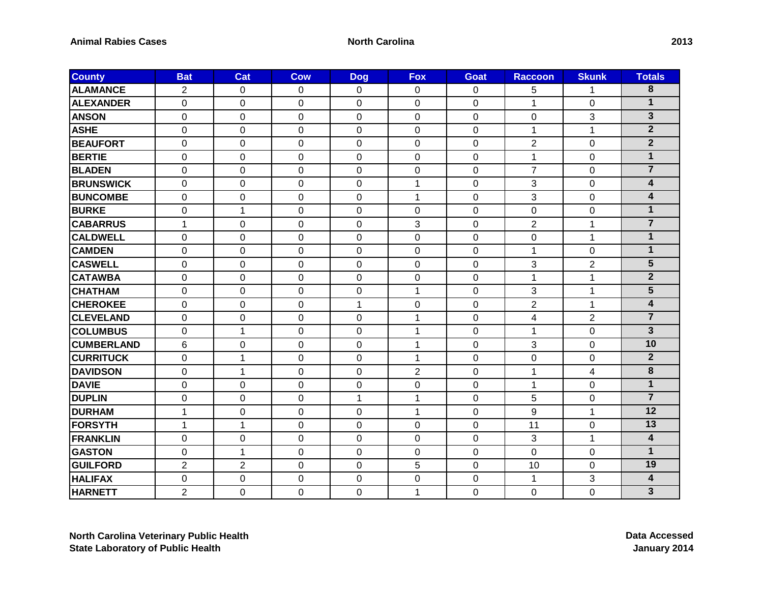| <b>County</b>     | <b>Bat</b>     | Cat            | <b>Cow</b>       | <b>Dog</b>     | <b>Fox</b>       | <b>Goat</b>    | <b>Raccoon</b> | <b>Skunk</b>   | <b>Totals</b>           |
|-------------------|----------------|----------------|------------------|----------------|------------------|----------------|----------------|----------------|-------------------------|
| <b>ALAMANCE</b>   | $\overline{2}$ | 0              | 0                | 0              | 0                | 0              | 5              | 1              | 8                       |
| <b>ALEXANDER</b>  | $\Omega$       | $\Omega$       | $\Omega$         | $\Omega$       | $\Omega$         | $\Omega$       | 1              | $\Omega$       | $\mathbf{1}$            |
| <b>ANSON</b>      | 0              | 0              | $\mathbf 0$      | $\mathbf 0$    | $\mathbf 0$      | $\mathbf 0$    | $\overline{0}$ | 3              | $\overline{3}$          |
| <b>ASHE</b>       | $\mathbf 0$    | 0              | $\boldsymbol{0}$ | 0              | 0                | 0              | 1              | 1              | $\mathbf{2}$            |
| <b>BEAUFORT</b>   | $\Omega$       | $\Omega$       | 0                | $\Omega$       | $\Omega$         | $\Omega$       | $\overline{2}$ | 0              | $\overline{2}$          |
| <b>BERTIE</b>     | $\overline{0}$ | $\mathbf 0$    | $\mathbf 0$      | $\mathbf 0$    | $\mathbf 0$      | $\mathbf 0$    | 1              | 0              | $\mathbf{1}$            |
| <b>BLADEN</b>     | 0              | 0              | $\mathbf 0$      | 0              | 0                | 0              | $\overline{7}$ | 0              | $\overline{7}$          |
| <b>BRUNSWICK</b>  | $\mathbf 0$    | 0              | $\mathbf 0$      | $\mathbf 0$    | 1                | $\overline{0}$ | 3              | 0              | $\overline{\mathbf{4}}$ |
| <b>BUNCOMBE</b>   | 0              | 0              | $\boldsymbol{0}$ | 0              | 1                | 0              | 3              | 0              | $\overline{\mathbf{4}}$ |
| <b>BURKE</b>      | 0              | $\mathbf{1}$   | 0                | $\Omega$       | 0                | 0              | $\Omega$       | 0              | $\mathbf{1}$            |
| <b>CABARRUS</b>   | 1              | 0              | $\mathbf 0$      | $\overline{0}$ | 3                | $\overline{0}$ | $\overline{2}$ | 1              | $\overline{7}$          |
| <b>CALDWELL</b>   | $\mathbf 0$    | 0              | $\boldsymbol{0}$ | 0              | $\mathbf 0$      | 0              | 0              | 1              | $\mathbf{1}$            |
| <b>CAMDEN</b>     | $\Omega$       | $\Omega$       | 0                | $\Omega$       | $\Omega$         | $\Omega$       | 1              | 0              | $\mathbf{1}$            |
| <b>CASWELL</b>    | 0              | $\Omega$       | 0                | $\Omega$       | $\mathbf 0$      | $\mathbf 0$    | 3              | $\overline{2}$ | $\overline{\mathbf{5}}$ |
| <b>CATAWBA</b>    | 0              | 0              | $\mathbf 0$      | 0              | $\boldsymbol{0}$ | 0              | 1              | 1              | $\overline{2}$          |
| <b>CHATHAM</b>    | $\mathbf 0$    | 0              | $\mathbf 0$      | $\mathbf 0$    | $\mathbf{1}$     | $\mathbf 0$    | 3              | $\mathbf{1}$   | $\overline{5}$          |
| <b>CHEROKEE</b>   | 0              | 0              | 0                | 1              | 0                | 0              | $\overline{2}$ | 1              | $\overline{\mathbf{4}}$ |
| <b>CLEVELAND</b>  | $\Omega$       | 0              | 0                | 0              | 1                | $\Omega$       | 4              | $\overline{2}$ | $\overline{7}$          |
| <b>COLUMBUS</b>   | $\mathbf 0$    | $\mathbf{1}$   | $\mathbf 0$      | $\mathbf 0$    | $\mathbf{1}$     | $\mathbf 0$    | 1              | 0              | $\overline{3}$          |
| <b>CUMBERLAND</b> | 6              | 0              | $\pmb{0}$        | 0              | 1                | 0              | 3              | 0              | 10                      |
| <b>CURRITUCK</b>  | $\Omega$       | 1              | 0                | $\Omega$       | 1                | $\Omega$       | $\Omega$       | 0              | $\overline{2}$          |
| <b>DAVIDSON</b>   | $\overline{0}$ | $\mathbf{1}$   | $\mathbf 0$      | $\mathbf 0$    | $\overline{2}$   | $\overline{0}$ | 1              | 4              | 8                       |
| <b>DAVIE</b>      | 0              | 0              | $\mathbf 0$      | 0              | $\mathbf 0$      | 0              | 1              | 0              | $\mathbf{1}$            |
| <b>DUPLIN</b>     | $\mathbf 0$    | $\Omega$       | 0                | $\mathbf 1$    | 1                | $\Omega$       | 5              | 0              | $\overline{7}$          |
| <b>DURHAM</b>     | 1              | 0              | 0                | 0              | 1                | $\mathbf 0$    | 9              | 1              | $\overline{12}$         |
| <b>FORSYTH</b>    | 1              | 1              | 0                | 0              | 0                | 0              | 11             | 0              | 13                      |
| <b>FRANKLIN</b>   | $\mathbf{0}$   | 0              | 0                | $\Omega$       | 0                | $\Omega$       | 3              | 1              | $\overline{\mathbf{4}}$ |
| <b>GASTON</b>     | $\Omega$       | 1              | 0                | 0              | 0                | $\Omega$       | $\Omega$       | 0              | $\mathbf{1}$            |
| <b>GUILFORD</b>   | 2              | $\overline{2}$ | 0                | 0              | 5                | 0              | 10             | 0              | 19                      |
| <b>HALIFAX</b>    | 0              | 0              | 0                | 0              | 0                | 0              | 1              | 3              | 4                       |
| <b>HARNETT</b>    | $\overline{2}$ | 0              | $\mathbf 0$      | $\mathbf 0$    | 1                | $\mathbf 0$    | $\mathbf 0$    | $\mathbf 0$    | $\overline{3}$          |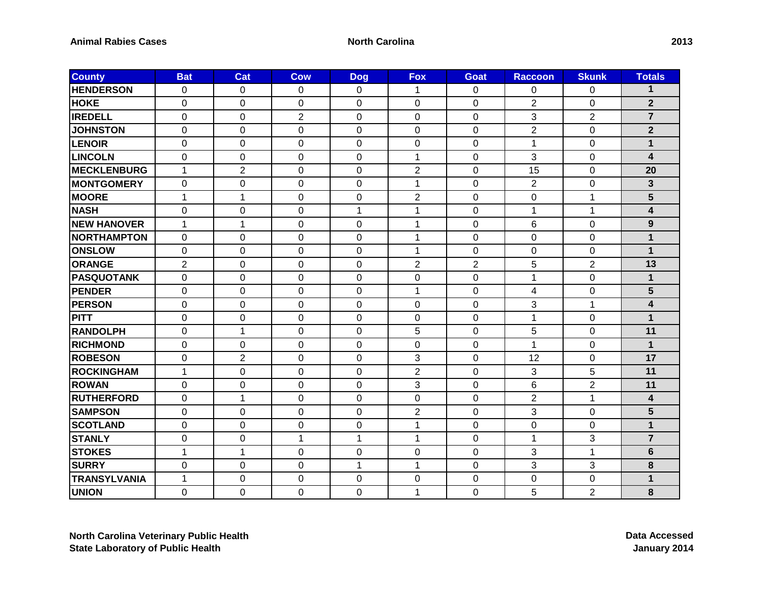| <b>County</b>       | <b>Bat</b>     | Cat            | <b>Cow</b>       | <b>Dog</b>     | <b>Fox</b>     | <b>Goat</b>    | <b>Raccoon</b> | <b>Skunk</b>   | <b>Totals</b>           |
|---------------------|----------------|----------------|------------------|----------------|----------------|----------------|----------------|----------------|-------------------------|
| <b>HENDERSON</b>    | $\Omega$       | 0              | $\Omega$         | 0              | 1              | $\Omega$       | 0              | 0              | 1                       |
| <b>HOKE</b>         | $\Omega$       | $\Omega$       | $\Omega$         | $\Omega$       | $\Omega$       | $\Omega$       | $\overline{2}$ | $\Omega$       | $\mathbf{2}$            |
| <b>IREDELL</b>      | $\mathbf 0$    | 0              | $\overline{2}$   | $\mathbf 0$    | $\mathbf 0$    | $\mathbf 0$    | 3              | $\overline{2}$ | $\overline{7}$          |
| <b>JOHNSTON</b>     | 0              | 0              | $\mathbf 0$      | 0              | $\mathbf 0$    | 0              | $\overline{2}$ | 0              | $\overline{2}$          |
| LENOIR              | $\overline{0}$ | 0              | $\mathbf 0$      | $\mathbf 0$    | $\mathbf 0$    | $\mathbf 0$    | 1              | $\mathbf 0$    | $\mathbf{1}$            |
| <b>LINCOLN</b>      | $\mathbf 0$    | 0              | $\mathbf 0$      | 0              | $\mathbf{1}$   | $\mathbf 0$    | 3              | 0              | $\overline{\mathbf{4}}$ |
| <b>MECKLENBURG</b>  | $\mathbf{1}$   | 2              | $\Omega$         | $\Omega$       | $\overline{2}$ | $\Omega$       | 15             | 0              | 20                      |
| <b>MONTGOMERY</b>   | $\mathbf 0$    | 0              | 0                | 0              | 1              | $\mathbf 0$    | $\overline{2}$ | 0              | $\overline{\mathbf{3}}$ |
| <b>MOORE</b>        | 1              | 1              | $\mathbf 0$      | 0              | $\sqrt{2}$     | 0              | 0              | $\mathbf{1}$   | 5                       |
| <b>NASH</b>         | 0              | 0              | $\mathbf 0$      | 1              | 1              | $\mathbf 0$    | 1              | $\mathbf{1}$   | $\overline{\mathbf{4}}$ |
| <b>NEW HANOVER</b>  | 1              | $\mathbf{1}$   | $\mathbf 0$      | $\mathbf 0$    | 1              | $\mathbf 0$    | 6              | 0              | 9                       |
| <b>NORTHAMPTON</b>  | $\Omega$       | 0              | 0                | $\Omega$       | 1              | $\Omega$       | $\Omega$       | $\Omega$       | 1                       |
| <b>ONSLOW</b>       | 0              | 0              | 0                | 0              | 1              | $\mathbf 0$    | $\Omega$       | 0              | $\mathbf{1}$            |
| <b>ORANGE</b>       | $\overline{2}$ | $\Omega$       | $\Omega$         | $\Omega$       | $\overline{2}$ | $\overline{2}$ | 5              | $\overline{2}$ | 13                      |
| <b>PASQUOTANK</b>   | $\mathbf{0}$   | 0              | 0                | 0              | $\mathbf 0$    | $\mathbf 0$    | 1              | $\mathbf 0$    | $\mathbf 1$             |
| <b>PENDER</b>       | $\mathbf 0$    | 0              | $\mathbf 0$      | $\mathbf 0$    | $\mathbf{1}$   | $\mathbf 0$    | 4              | 0              | 5                       |
| <b>PERSON</b>       | $\Omega$       | $\Omega$       | 0                | $\Omega$       | $\Omega$       | $\Omega$       | 3              | 1              | 4                       |
| PITT                | $\mathbf 0$    | 0              | 0                | 0              | 0              | $\Omega$       | 1              | 0              | 1                       |
| <b>RANDOLPH</b>     | $\mathbf 0$    | $\mathbf{1}$   | $\mathbf 0$      | $\Omega$       | 5              | $\mathbf 0$    | 5              | 0              | 11                      |
| <b>RICHMOND</b>     | 0              | 0              | $\pmb{0}$        | $\mathbf 0$    | 0              | $\mathbf 0$    | 1              | 0              | $\mathbf{1}$            |
| <b>ROBESON</b>      | 0              | $\overline{2}$ | $\boldsymbol{0}$ | 0              | 3              | 0              | 12             | 0              | 17                      |
| ROCKINGHAM          | $\mathbf{1}$   | $\overline{0}$ | $\overline{0}$   | $\overline{0}$ | $\overline{2}$ | $\overline{0}$ | 3              | 5              | 11                      |
| <b>ROWAN</b>        | 0              | 0              | $\pmb{0}$        | 0              | 3              | $\mathbf 0$    | 6              | $\overline{2}$ | 11                      |
| <b>RUTHERFORD</b>   | $\Omega$       | 1              | 0                | 0              | $\Omega$       | $\Omega$       | $\overline{2}$ | 1              | 4                       |
| <b>SAMPSON</b>      | $\overline{0}$ | 0              | 0                | $\Omega$       | $\overline{2}$ | $\overline{0}$ | 3              | 0              | 5                       |
| <b>SCOTLAND</b>     | 0              | 0              | $\mathbf 0$      | 0              | 1              | $\pmb{0}$      | $\mathbf 0$    | $\mathbf 0$    | $\mathbf{1}$            |
| <b>STANLY</b>       | $\mathbf 0$    | 0              | $\mathbf{1}$     | 1              | 1              | $\Omega$       | 1              | 3              | $\overline{7}$          |
| <b>STOKES</b>       | 1              | $\mathbf{1}$   | 0                | 0              | 0              | $\Omega$       | 3              | 1              | $6\phantom{1}$          |
| <b>SURRY</b>        | $\Omega$       | 0              | 0                | 1              | 1              | 0              | 3              | 3              | 8                       |
| <b>TRANSYLVANIA</b> | $\mathbf{1}$   | $\Omega$       | 0                | $\Omega$       | 0              | 0              | $\Omega$       | 0              | 1                       |
| <b>UNION</b>        | 0              | 0              | $\mathbf 0$      | $\mathbf 0$    | 1              | $\mathbf 0$    | 5              | $\overline{2}$ | 8                       |